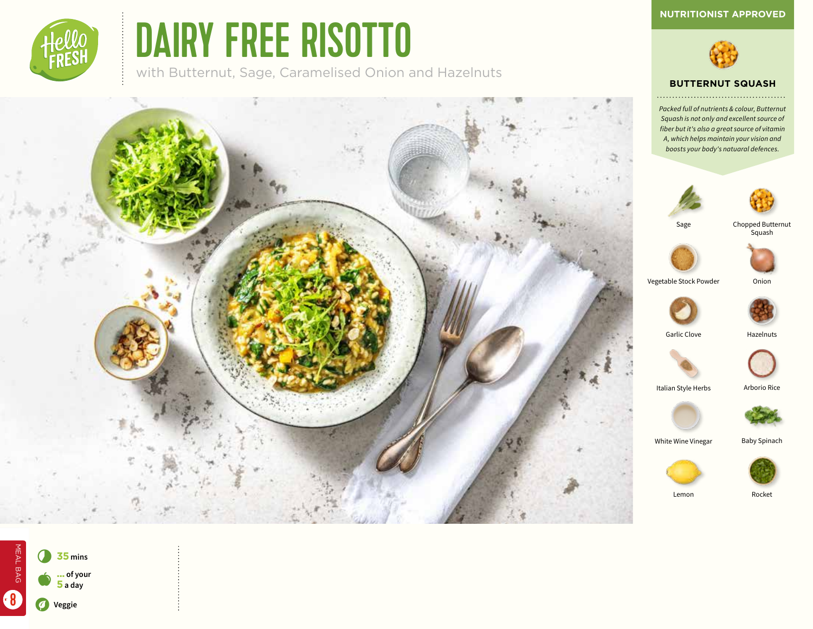

# DAIRY FREE RISOTTO

with Butternut, Sage, Caramelised Onion and Hazelnuts